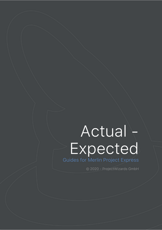# Actual -Expected

Guides for Merlin Project Express

© 2020 - ProjectWizards GmbH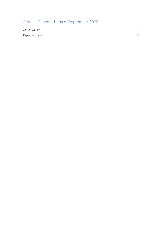# Actual - Expected - as of September 2020

| Actual values   | $\mathcal{L}$ |
|-----------------|---------------|
| Expected values | 3             |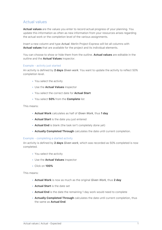# <span id="page-2-0"></span>Actual values

**Actual values** are the values you enter to record actual progress of your planning. You update this information as often as new information from your resources arises regarding the actual work or the completion level of the various assignments.

Insert a new column and type *Actual*. Merlin Project Express will list all columns with **Actual values** that are available for the project and its individual elements.

You can choose to show or hide them from the outline. **Actual values** are editable in the outline and the **Actual Values** inspector.

# Example - activity just started

An activity is defined by **2 days** *Given work*. You want to update the activity to reflect 50% completion level.

- You select the activity
- Use the **Actual Values** inspector
- You select the correct date for **Actual Start**
- You select **50%** from the **Complete** list

This means:

- **Actual Work** calculates as half of *Given Work*, thus **1 day**
- **Actual Start** is the date you just entered
- **Actual End** is blank (the task isn't completely done yet)
- **Actually Completed Through** calculates the date until current completion.

## Example - completing a started activity

An activity is defined by **2 days** *Given work*, which was recorded as 50% completed is now completed.

- You select the activity
- Use the **Actual Values** inspector
- Click on **100%**

This means:

- **Actual Work** is now as much as the original *Given Work*, thus **2 day**
- **Actual Start** is the date set
- **Actual End** is the date the remaining 1 day work would need to complete
- **Actually Completed Through** calculates the date until current completion, thus the same as **Actual End**.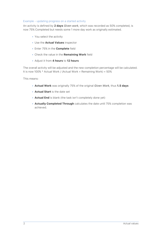# Example - updating progress on a started activity

An activity is defined by **2 days** *Given work*, which was recorded as 50% completed, is now 75% Completed but needs some 1 more day work as originally estimated.

- You select the activity
- Use the **Actual Values** inspector
- Enter 75% in the **Complete** field
- Check the value in the **Remaining Work** field
- Adjust it from **4 hours** to **12 hours**

The overall activity will be adjusted and the new completion percentage will be calculated. It is now 100% \* Actual Work / (Actual Work + Remaining Work) = 50%

This means:

- **Actual Work** was originally 75% of the original *Given Work*, thus **1.5 days**
- **Actual Start** is the date set
- **Actual End** is blank (the task isn't completely done yet)
- **Actually Completed Through** calculates the date until 75% completion was achieved.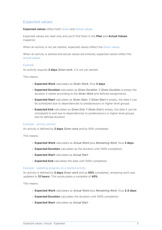# <span id="page-4-0"></span>Expected values

**Expected values** reflect both Given and [Actual values.](#page-2-0)

Expected values are read-only and you'll find them in the **Plan** and **Actual Values** Inspector.

When an activity is not yet started, expected values reflect the Given values.

When an activity is started and actual values are entered, expected values reflect the [Actual values](#page-2-0).

# Example

An activity requires **2 days** *Given work*. It is not yet started.

This means:

- **Expected Work** calculates as *Given Work*, thus **2 days**
- **Expected Duration** calculates as *Given Duration*. If *Given Duration* is empty the duration it needs according to the *Given Work* and defined assignments.
- **Expected Start** calculates as *Given Start*. If *Given Start* is empty, the date it can be scheduled due to dependencies to predecessors or higher level groups.
- **Expected End** calculates as *Given End*. If *Given End* is empty, the date it can be scheduled to end due to dependencies to predecessors or higher level groups and its defined duration.

## Example - activity started

An activity is defined by **2 days** *Given work* and by 50% completed.

This means:

- **Expected Work** calculates as *Actual Work* plus *Remaining Work*, thus **2 days**
- **Expected Duration** calculates as the duration until 100% completion.
- **Expected Start** calculates as *Actual Start*
- **Expected End** calculates the date until 100% completion

## Example - updating progress on a started activity

An activity is defined by **2 days** *Given work* and as **50%** completed, remaining work was updated to **12 hours**. This recalculates a complete of **40%**.

This means:

- **Expected Work** calculates as *Actual Work* plus *Remaining Work*, thus **2.5 days**
- **Expected Duration** calculates the duration until 100% completion
- **Expected Start** calculates as *Actual Start*